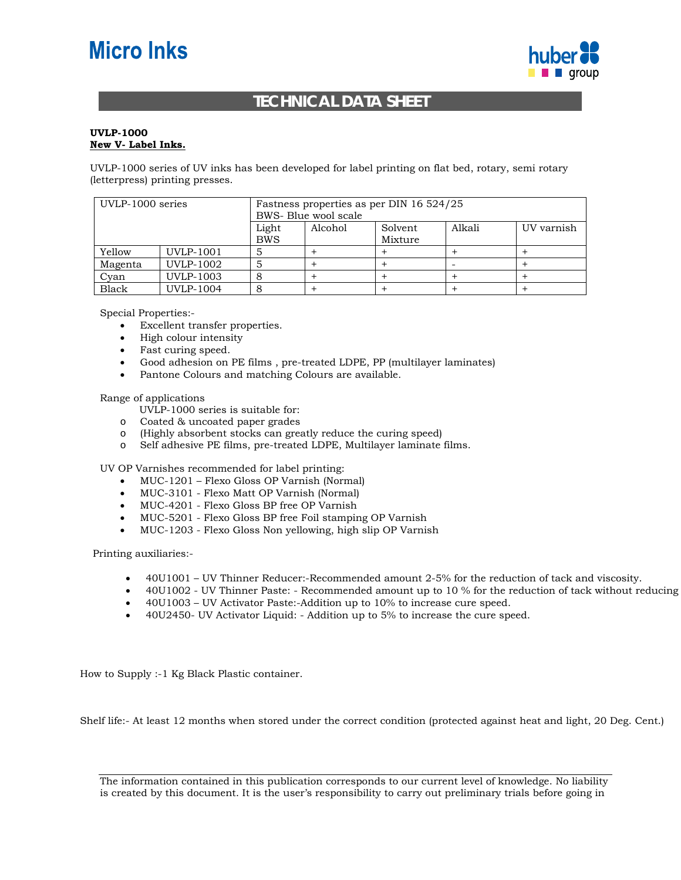## **Micro Inks**



## **TECHNICAL DATA SHEET**

## **UVLP-1000 New V- Label Inks.**

UVLP-1000 series of UV inks has been developed for label printing on flat bed, rotary, semi rotary (letterpress) printing presses.

| UVLP-1000 series |                  | Fastness properties as per DIN 16 524/25<br>BWS- Blue wool scale |         |                    |        |            |
|------------------|------------------|------------------------------------------------------------------|---------|--------------------|--------|------------|
|                  |                  | Light<br><b>BWS</b>                                              | Alcohol | Solvent<br>Mixture | Alkali | UV varnish |
| Yellow           | UVLP-1001        |                                                                  |         |                    |        |            |
| Magenta          | UVLP-1002        |                                                                  |         |                    |        |            |
| Cvan             | UVLP-1003        |                                                                  |         |                    |        |            |
| Black            | <b>UVLP-1004</b> |                                                                  |         |                    |        |            |

Special Properties:-

- Excellent transfer properties.
- High colour intensity
- Fast curing speed.
- Good adhesion on PE films , pre-treated LDPE, PP (multilayer laminates)
- Pantone Colours and matching Colours are available.

Range of applications

- UVLP-1000 series is suitable for:
- o Coated & uncoated paper grades
- o (Highly absorbent stocks can greatly reduce the curing speed)
- o Self adhesive PE films, pre-treated LDPE, Multilayer laminate films.

UV OP Varnishes recommended for label printing:

- MUC-1201 Flexo Gloss OP Varnish (Normal)
- MUC-3101 Flexo Matt OP Varnish (Normal)
- MUC-4201 Flexo Gloss BP free OP Varnish
- MUC-5201 Flexo Gloss BP free Foil stamping OP Varnish
- MUC-1203 Flexo Gloss Non yellowing, high slip OP Varnish

Printing auxiliaries:-

- 40U1001 UV Thinner Reducer:-Recommended amount 2-5% for the reduction of tack and viscosity.
- 40U1002 UV Thinner Paste: Recommended amount up to 10 % for the reduction of tack without reducing
- 40U1003 UV Activator Paste:-Addition up to 10% to increase cure speed.
- 40U2450- UV Activator Liquid: Addition up to 5% to increase the cure speed.

How to Supply :-1 Kg Black Plastic container.

Shelf life:- At least 12 months when stored under the correct condition (protected against heat and light, 20 Deg. Cent.)

The information contained in this publication corresponds to our current level of knowledge. No liability is created by this document. It is the user's responsibility to carry out preliminary trials before going in